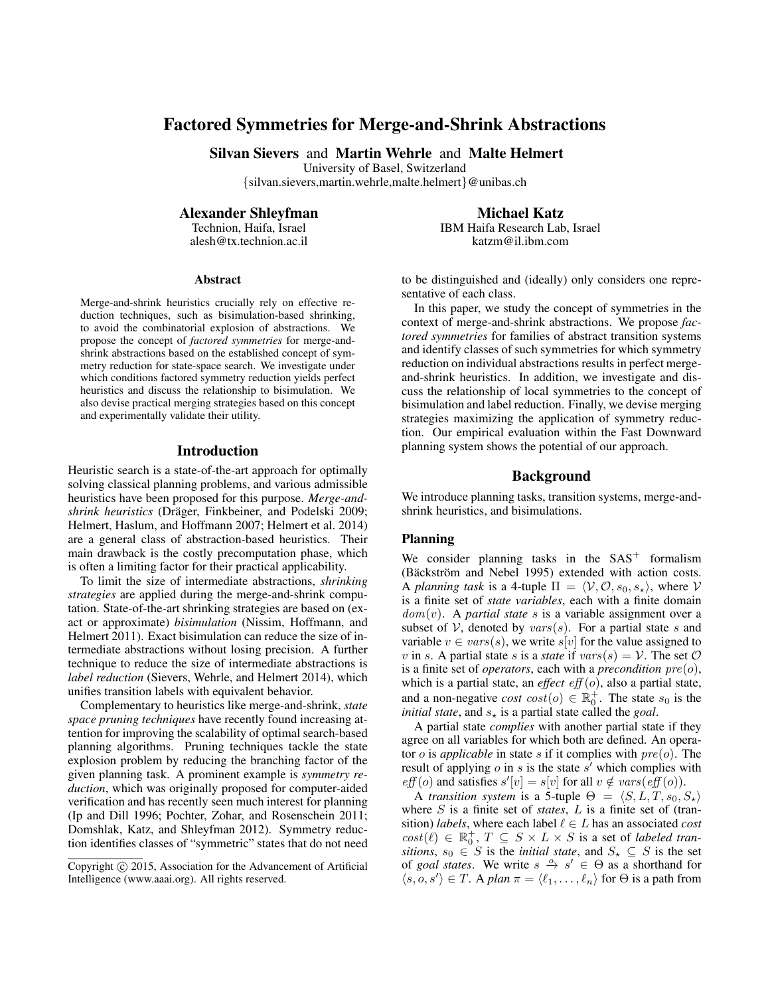# Factored Symmetries for Merge-and-Shrink Abstractions

Silvan Sievers and Martin Wehrle and Malte Helmert

University of Basel, Switzerland

{silvan.sievers,martin.wehrle,malte.helmert}@unibas.ch

Alexander Shleyfman

Technion, Haifa, Israel alesh@tx.technion.ac.il

#### Abstract

Merge-and-shrink heuristics crucially rely on effective reduction techniques, such as bisimulation-based shrinking, to avoid the combinatorial explosion of abstractions. We propose the concept of *factored symmetries* for merge-andshrink abstractions based on the established concept of symmetry reduction for state-space search. We investigate under which conditions factored symmetry reduction yields perfect heuristics and discuss the relationship to bisimulation. We also devise practical merging strategies based on this concept and experimentally validate their utility.

#### Introduction

Heuristic search is a state-of-the-art approach for optimally solving classical planning problems, and various admissible heuristics have been proposed for this purpose. *Merge-andshrink heuristics* (Dräger, Finkbeiner, and Podelski 2009; Helmert, Haslum, and Hoffmann 2007; Helmert et al. 2014) are a general class of abstraction-based heuristics. Their main drawback is the costly precomputation phase, which is often a limiting factor for their practical applicability.

To limit the size of intermediate abstractions, *shrinking strategies* are applied during the merge-and-shrink computation. State-of-the-art shrinking strategies are based on (exact or approximate) *bisimulation* (Nissim, Hoffmann, and Helmert 2011). Exact bisimulation can reduce the size of intermediate abstractions without losing precision. A further technique to reduce the size of intermediate abstractions is *label reduction* (Sievers, Wehrle, and Helmert 2014), which unifies transition labels with equivalent behavior.

Complementary to heuristics like merge-and-shrink, *state space pruning techniques* have recently found increasing attention for improving the scalability of optimal search-based planning algorithms. Pruning techniques tackle the state explosion problem by reducing the branching factor of the given planning task. A prominent example is *symmetry reduction*, which was originally proposed for computer-aided verification and has recently seen much interest for planning (Ip and Dill 1996; Pochter, Zohar, and Rosenschein 2011; Domshlak, Katz, and Shleyfman 2012). Symmetry reduction identifies classes of "symmetric" states that do not need Michael Katz

IBM Haifa Research Lab, Israel katzm@il.ibm.com

to be distinguished and (ideally) only considers one representative of each class.

In this paper, we study the concept of symmetries in the context of merge-and-shrink abstractions. We propose *factored symmetries* for families of abstract transition systems and identify classes of such symmetries for which symmetry reduction on individual abstractions results in perfect mergeand-shrink heuristics. In addition, we investigate and discuss the relationship of local symmetries to the concept of bisimulation and label reduction. Finally, we devise merging strategies maximizing the application of symmetry reduction. Our empirical evaluation within the Fast Downward planning system shows the potential of our approach.

### Background

We introduce planning tasks, transition systems, merge-andshrink heuristics, and bisimulations.

# Planning

We consider planning tasks in the  $SAS<sup>+</sup>$  formalism (Bäckström and Nebel 1995) extended with action costs. A *planning task* is a 4-tuple  $\Pi = \langle V, \mathcal{O}, s_0, s_* \rangle$ , where V is a finite set of *state variables*, each with a finite domain  $dom(v)$ . A *partial state* s is a variable assignment over a subset of  $V$ , denoted by  $vars(s)$ . For a partial state s and variable  $v \in vars(s)$ , we write  $s[v]$  for the value assigned to v in s. A partial state s is a *state* if  $vars(s) = V$ . The set  $O$ is a finite set of *operators*, each with a *precondition* pre(o), which is a partial state, an *effect*  $eff(o)$ , also a partial state, and a non-negative *cost*  $cost(o) \in \mathbb{R}_0^+$ . The state  $s_0$  is the *initial state*, and  $s_{\star}$  is a partial state called the *goal*.

A partial state *complies* with another partial state if they agree on all variables for which both are defined. An operator  $o$  is *applicable* in state  $s$  if it complies with  $pre(o)$ . The result of applying  $o$  in  $s$  is the state  $s'$  which complies with  $\textit{eff}(o)$  and satisfies  $s'[v] = s[v]$  for all  $v \notin \textit{vars}(\textit{eff}(o)).$ 

A *transition system* is a 5-tuple  $\Theta = \langle S, L, T, s_0, S_{\star} \rangle$ where S is a finite set of *states*, L is a finite set of (transition) *labels*, where each label  $\ell \in L$  has an associated *cost*  $cost(\ell) \in \mathbb{R}_0^+$ ,  $T \subseteq S \times L \times S$  is a set of *labeled transitions*,  $s_0 \text{ } \in S$  is the *initial state*, and  $S_{\star} \subseteq S$  is the set of *goal states*. We write  $s \stackrel{o}{\rightarrow} s' \in \Theta$  as a shorthand for  $\langle s, o, s' \rangle \in T$ . A *plan*  $\pi = \langle \ell_1, \ldots, \ell_n \rangle$  for  $\Theta$  is a path from

Copyright (c) 2015, Association for the Advancement of Artificial Intelligence (www.aaai.org). All rights reserved.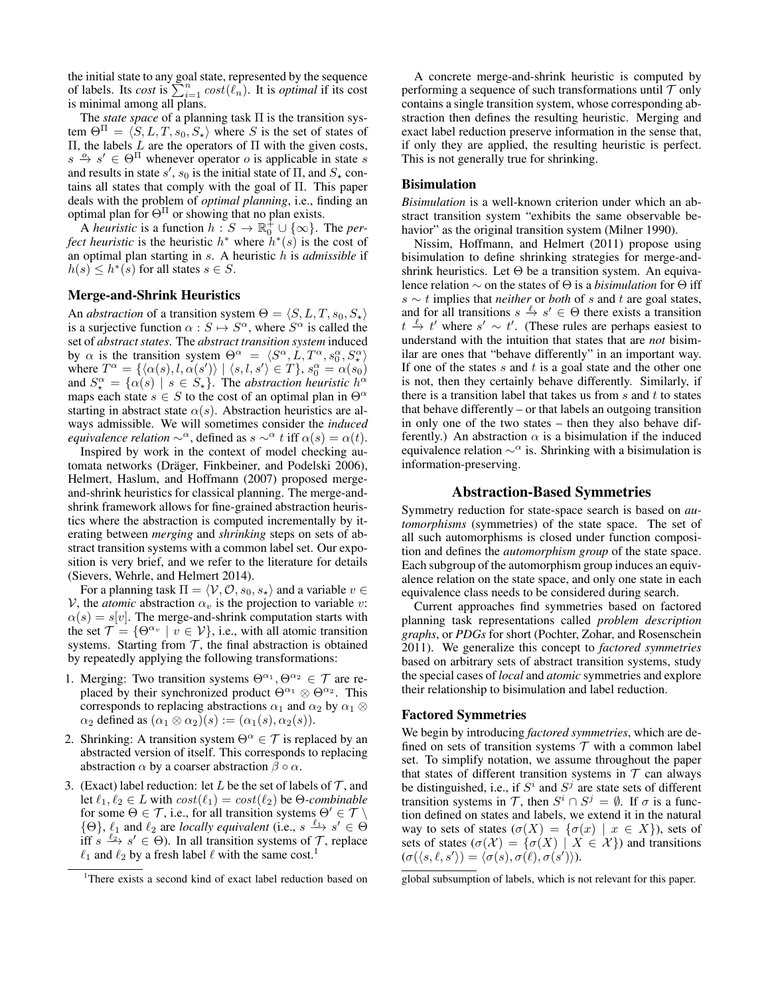the initial state to any goal state, represented by the sequence of labels. Its *cost* is  $\sum_{i=1}^{n} cost(\ell_n)$ . It is *optimal* if its cost is minimal among all plans.

The *state space* of a planning task Π is the transition system  $\Theta^{\Pi} = \langle S, L, T, s_0, S_{\star} \rangle$  where S is the set of states of Π, the labels L are the operators of Π with the given costs,  $s \stackrel{o}{\rightarrow} s' \in \Theta^{\Pi}$  whenever operator *o* is applicable in state *s* and results in state  $s'$ ,  $s_0$  is the initial state of  $\Pi$ , and  $S_{\star}$  contains all states that comply with the goal of Π. This paper deals with the problem of *optimal planning*, i.e., finding an optimal plan for  $\Theta^{\Pi}$  or showing that no plan exists.

A *heuristic* is a function  $h: S \to \mathbb{R}^+_0 \cup \{\infty\}$ . The *perfect heuristic* is the heuristic  $h^*$  where  $h^*(s)$  is the cost of an optimal plan starting in s. A heuristic h is *admissible* if  $h(s) \leq h^*(s)$  for all states  $s \in S$ .

## Merge-and-Shrink Heuristics

An *abstraction* of a transition system  $\Theta = \langle S, L, T, s_0, S_{\star} \rangle$ is a surjective function  $\alpha : S \mapsto S^{\alpha}$ , where  $S^{\alpha}$  is called the set of *abstract states*. The *abstract transition system* induced by  $\alpha$  is the transition system  $\Theta^{\alpha} = \langle S^{\alpha}, L, T^{\alpha}, s_0^{\alpha}, S_{\star}^{\alpha} \rangle$ where  $T^{\alpha} = \{(\alpha(s), l, \alpha(s')) \mid (s, l, s') \in T\}, s_0^{\alpha} = \alpha(s_0)$ and  $S_{\star}^{\alpha} = {\alpha(s) \mid s \in S_{\star}}$ . The *abstraction heuristic*  $h^{\alpha}$ maps each state  $s \in S$  to the cost of an optimal plan in  $\Theta^{\alpha}$ starting in abstract state  $\alpha(s)$ . Abstraction heuristics are always admissible. We will sometimes consider the *induced equivalence relation*  $\sim^{\alpha}$ , defined as  $s \sim^{\alpha} t$  iff  $\alpha(s) = \alpha(t)$ .

Inspired by work in the context of model checking automata networks (Dräger, Finkbeiner, and Podelski 2006), Helmert, Haslum, and Hoffmann (2007) proposed mergeand-shrink heuristics for classical planning. The merge-andshrink framework allows for fine-grained abstraction heuristics where the abstraction is computed incrementally by iterating between *merging* and *shrinking* steps on sets of abstract transition systems with a common label set. Our exposition is very brief, and we refer to the literature for details (Sievers, Wehrle, and Helmert 2014).

For a planning task  $\Pi = \langle V, O, s_0, s_* \rangle$  and a variable  $v \in$  $V$ , the *atomic* abstraction  $\alpha_v$  is the projection to variable v:  $\alpha(s) = s[v]$ . The merge-and-shrink computation starts with the set  $\mathcal{T} = \{ \Theta^{\alpha_v} \mid v \in \mathcal{V} \}$ , i.e., with all atomic transition systems. Starting from  $T$ , the final abstraction is obtained by repeatedly applying the following transformations:

- 1. Merging: Two transition systems  $\Theta^{\alpha_1}, \Theta^{\alpha_2} \in \mathcal{T}$  are replaced by their synchronized product  $\Theta^{\alpha_1} \otimes \Theta^{\alpha_2}$ . This corresponds to replacing abstractions  $\alpha_1$  and  $\alpha_2$  by  $\alpha_1 \otimes$  $\alpha_2$  defined as  $(\alpha_1 \otimes \alpha_2)(s) := (\alpha_1(s), \alpha_2(s)).$
- 2. Shrinking: A transition system  $\Theta^{\alpha} \in \mathcal{T}$  is replaced by an abstracted version of itself. This corresponds to replacing abstraction  $\alpha$  by a coarser abstraction  $\beta \circ \alpha$ .
- 3. (Exact) label reduction: let L be the set of labels of  $\mathcal{T}$ , and let  $\ell_1, \ell_2 \in L$  with  $cost(\ell_1) = cost(\ell_2)$  be  $\Theta$ -combinable for some  $\Theta \in \mathcal{T}$ , i.e., for all transition systems  $\Theta' \in \mathcal{T} \setminus \mathcal{T}$  $\{\Theta\}, \ell_1$  and  $\ell_2$  are *locally equivalent* (i.e.,  $s \xrightarrow{\ell_1} s' \in \Theta$ ) iff  $s \xrightarrow{\ell_2} s' \in \Theta$ ). In all transition systems of  $\mathcal{T}$ , replace  $\ell_1$  and  $\ell_2$  by a fresh label  $\ell$  with the same cost.<sup>1</sup>

A concrete merge-and-shrink heuristic is computed by performing a sequence of such transformations until  $T$  only contains a single transition system, whose corresponding abstraction then defines the resulting heuristic. Merging and exact label reduction preserve information in the sense that, if only they are applied, the resulting heuristic is perfect. This is not generally true for shrinking.

#### **Bisimulation**

*Bisimulation* is a well-known criterion under which an abstract transition system "exhibits the same observable behavior" as the original transition system (Milner 1990).

Nissim, Hoffmann, and Helmert (2011) propose using bisimulation to define shrinking strategies for merge-andshrink heuristics. Let  $\Theta$  be a transition system. An equivalence relation ∼ on the states of Θ is a *bisimulation* for Θ iff s ∼ t implies that *neither* or *both* of s and t are goal states, and for all transitions  $s \stackrel{\ell}{\to} s' \in \Theta$  there exists a transition  $t \stackrel{\ell}{\rightarrow} t'$  where  $s' \sim t'$ . (These rules are perhaps easiest to understand with the intuition that states that are *not* bisimilar are ones that "behave differently" in an important way. If one of the states  $s$  and  $t$  is a goal state and the other one is not, then they certainly behave differently. Similarly, if there is a transition label that takes us from  $s$  and  $t$  to states that behave differently – or that labels an outgoing transition in only one of the two states – then they also behave differently.) An abstraction  $\alpha$  is a bisimulation if the induced equivalence relation  $\sim^{\alpha}$  is. Shrinking with a bisimulation is information-preserving.

### Abstraction-Based Symmetries

Symmetry reduction for state-space search is based on *automorphisms* (symmetries) of the state space. The set of all such automorphisms is closed under function composition and defines the *automorphism group* of the state space. Each subgroup of the automorphism group induces an equivalence relation on the state space, and only one state in each equivalence class needs to be considered during search.

Current approaches find symmetries based on factored planning task representations called *problem description graphs*, or *PDGs* for short (Pochter, Zohar, and Rosenschein 2011). We generalize this concept to *factored symmetries* based on arbitrary sets of abstract transition systems, study the special cases of *local* and *atomic* symmetries and explore their relationship to bisimulation and label reduction.

#### Factored Symmetries

We begin by introducing *factored symmetries*, which are defined on sets of transition systems  $T$  with a common label set. To simplify notation, we assume throughout the paper that states of different transition systems in  $T$  can always be distinguished, i.e., if  $S^i$  and  $S^j$  are state sets of different transition systems in T, then  $S^i \cap S^j = \emptyset$ . If  $\sigma$  is a function defined on states and labels, we extend it in the natural way to sets of states  $(\sigma(X) = {\sigma(x) | x \in X}$ , sets of sets of states  $(\sigma(\mathcal{X}) = \{\sigma(X) | X \in \mathcal{X}\})$  and transitions  $(\sigma(\langle s, \ell, s' \rangle) = \langle \sigma(s), \sigma(\ell), \sigma(s') \rangle).$ 

global subsumption of labels, which is not relevant for this paper.

<sup>&</sup>lt;sup>1</sup>There exists a second kind of exact label reduction based on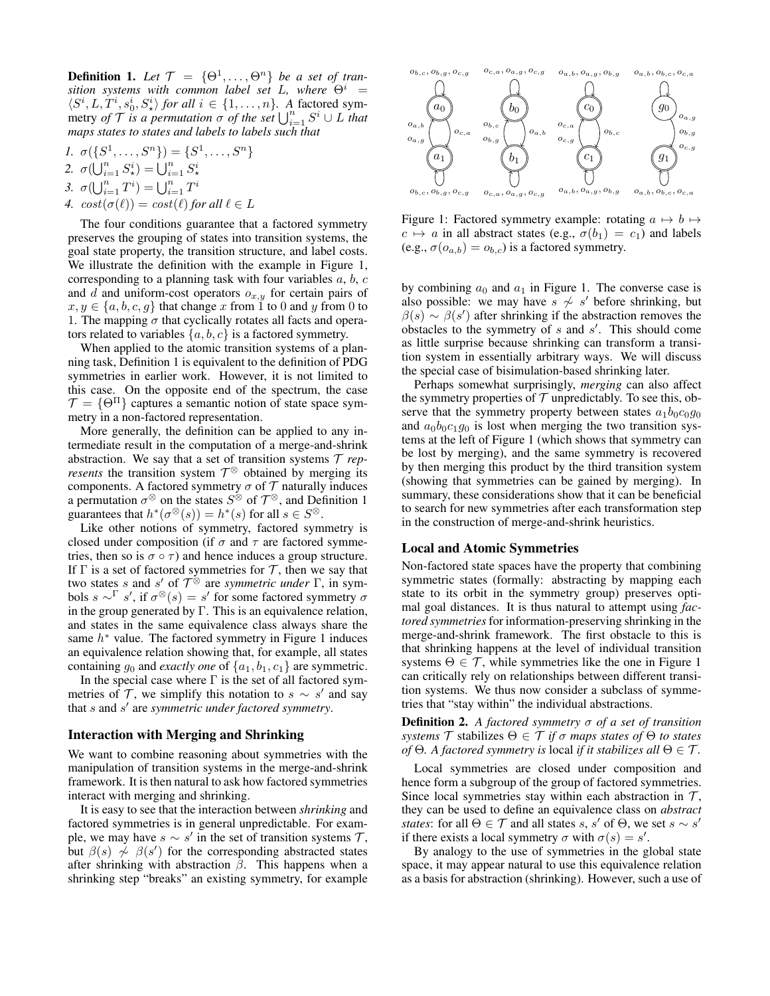**Definition 1.** Let  $\mathcal{T} = {\Theta^1, \ldots, \Theta^n}$  be a set of tran*sition systems with common label set* L, where  $\Theta^i$  =  $\langle S^i, L, T^i, s_0^i, S_{\star}^i \rangle$  *for all*  $i \in \{1, \ldots, n\}$ . A factored symmetry *of*  $\mathcal{T}$  *is a permutation*  $\sigma$  *of the set*  $\bigcup_{i=1}^{n} S^i \cup L$  *that maps states to states and labels to labels such that*

1. 
$$
\sigma(\{S^1, ..., S^n\}) = \{S^1, ..., S^n\}
$$
  
\n2.  $\sigma(\bigcup_{i=1}^n S^i_{\star}) = \bigcup_{i=1}^n S^i_{\star}$   
\n3.  $\sigma(\bigcup_{i=1}^n T^i) = \bigcup_{i=1}^n T^i$   
\n4.  $cost(\sigma(\ell)) = cost(\ell)$  for all  $\ell \in L$ 

The four conditions guarantee that a factored symmetry preserves the grouping of states into transition systems, the goal state property, the transition structure, and label costs. We illustrate the definition with the example in Figure 1, corresponding to a planning task with four variables  $a, b, c$ and d and uniform-cost operators  $o_{x,y}$  for certain pairs of  $x, y \in \{a, b, c, g\}$  that change x from 1 to 0 and y from 0 to 1. The mapping  $\sigma$  that cyclically rotates all facts and operators related to variables  $\{a, b, c\}$  is a factored symmetry.

When applied to the atomic transition systems of a planning task, Definition 1 is equivalent to the definition of PDG symmetries in earlier work. However, it is not limited to this case. On the opposite end of the spectrum, the case  $\mathcal{T} = \{ \Theta^{\Pi} \}$  captures a semantic notion of state space symmetry in a non-factored representation.

More generally, the definition can be applied to any intermediate result in the computation of a merge-and-shrink abstraction. We say that a set of transition systems  $\mathcal T$  *represents* the transition system  $\mathcal{T}^{\otimes}$  obtained by merging its components. A factored symmetry  $\sigma$  of  $\mathcal T$  naturally induces a permutation  $\sigma^{\otimes}$  on the states  $S^{\otimes}$  of  $\mathcal{T}^{\otimes}$ , and Definition 1 guarantees that  $h^*(\sigma^{\otimes}(s)) = h^*(s)$  for all  $s \in S^{\otimes}$ .

Like other notions of symmetry, factored symmetry is closed under composition (if  $\sigma$  and  $\tau$  are factored symmetries, then so is  $\sigma \circ \tau$ ) and hence induces a group structure. If  $\Gamma$  is a set of factored symmetries for  $\mathcal T$ , then we say that two states s and s' of  $\mathcal{T}^{\otimes}$  are *symmetric under*  $\Gamma$ , in symbols  $s \sim \Gamma$  s', if  $\sigma^{\otimes}(s) = s'$  for some factored symmetry  $\sigma$ in the group generated by  $\Gamma$ . This is an equivalence relation, and states in the same equivalence class always share the same  $h^*$  value. The factored symmetry in Figure 1 induces an equivalence relation showing that, for example, all states containing  $g_0$  and *exactly one* of  $\{a_1, b_1, c_1\}$  are symmetric.

In the special case where  $\Gamma$  is the set of all factored symmetries of  $\mathcal T$ , we simplify this notation to  $s \sim s'$  and say that s and s 0 are *symmetric under factored symmetry*.

#### Interaction with Merging and Shrinking

We want to combine reasoning about symmetries with the manipulation of transition systems in the merge-and-shrink framework. It is then natural to ask how factored symmetries interact with merging and shrinking.

It is easy to see that the interaction between *shrinking* and factored symmetries is in general unpredictable. For example, we may have  $s \sim s'$  in the set of transition systems  $\mathcal{T}$ , but  $\beta(s)$   $\sim \beta(s')$  for the corresponding abstracted states after shrinking with abstraction  $\beta$ . This happens when a shrinking step "breaks" an existing symmetry, for example



Figure 1: Factored symmetry example: rotating  $a \mapsto b \mapsto$  $c \mapsto a$  in all abstract states (e.g.,  $\sigma(b_1) = c_1$ ) and labels (e.g.,  $\sigma(o_{a,b}) = o_{b,c}$ ) is a factored symmetry.

by combining  $a_0$  and  $a_1$  in Figure 1. The converse case is also possible: we may have  $s \nsim s'$  before shrinking, but  $\beta(s) \sim \beta(s')$  after shrinking if the abstraction removes the obstacles to the symmetry of  $s$  and  $s'$ . This should come as little surprise because shrinking can transform a transition system in essentially arbitrary ways. We will discuss the special case of bisimulation-based shrinking later.

Perhaps somewhat surprisingly, *merging* can also affect the symmetry properties of  $T$  unpredictably. To see this, observe that the symmetry property between states  $a_1b_0c_0g_0$ and  $a_0b_0c_1g_0$  is lost when merging the two transition systems at the left of Figure 1 (which shows that symmetry can be lost by merging), and the same symmetry is recovered by then merging this product by the third transition system (showing that symmetries can be gained by merging). In summary, these considerations show that it can be beneficial to search for new symmetries after each transformation step in the construction of merge-and-shrink heuristics.

#### Local and Atomic Symmetries

Non-factored state spaces have the property that combining symmetric states (formally: abstracting by mapping each state to its orbit in the symmetry group) preserves optimal goal distances. It is thus natural to attempt using *factored symmetries*for information-preserving shrinking in the merge-and-shrink framework. The first obstacle to this is that shrinking happens at the level of individual transition systems  $\Theta \in \mathcal{T}$ , while symmetries like the one in Figure 1 can critically rely on relationships between different transition systems. We thus now consider a subclass of symmetries that "stay within" the individual abstractions.

Definition 2. *A factored symmetry* σ *of a set of transition systems*  $\mathcal T$  stabilizes  $\Theta \in \mathcal T$  *if*  $\sigma$  *maps states of*  $\Theta$  *to states of*  $\Theta$ *. A factored symmetry is local if it stabilizes all*  $\Theta \in \mathcal{T}$ *.* 

Local symmetries are closed under composition and hence form a subgroup of the group of factored symmetries. Since local symmetries stay within each abstraction in  $\mathcal{T}$ , they can be used to define an equivalence class on *abstract states*: for all  $\Theta \in \mathcal{T}$  and all states s, s' of  $\Theta$ , we set s  $\sim s'$ if there exists a local symmetry  $\sigma$  with  $\sigma(s) = s'$ .

By analogy to the use of symmetries in the global state space, it may appear natural to use this equivalence relation as a basis for abstraction (shrinking). However, such a use of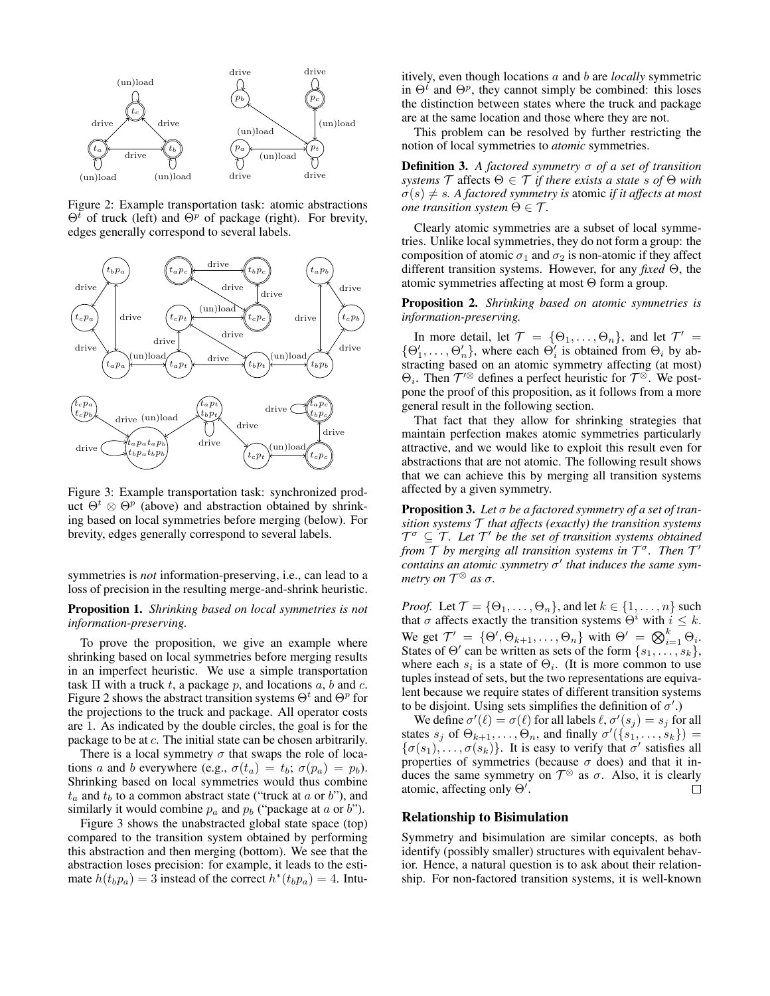

Figure 2: Example transportation task: atomic abstractions  $\Theta^t$  of truck (left) and  $\Theta^p$  of package (right). For brevity, edges generally correspond to several labels.



Figure 3: Example transportation task: synchronized product  $\Theta^t \otimes \Theta^p$  (above) and abstraction obtained by shrinking based on local symmetries before merging (below). For brevity, edges generally correspond to several labels.

symmetries is *not* information-preserving, i.e., can lead to a loss of precision in the resulting merge-and-shrink heuristic.

### Proposition 1. *Shrinking based on local symmetries is not information-preserving.*

To prove the proposition, we give an example where shrinking based on local symmetries before merging results in an imperfect heuristic. We use a simple transportation task  $\Pi$  with a truck t, a package p, and locations  $a, b$  and  $c$ . Figure 2 shows the abstract transition systems  $\Theta^t$  and  $\Theta^p$  for the projections to the truck and package. All operator costs are 1. As indicated by the double circles, the goal is for the package to be at c. The initial state can be chosen arbitrarily.

There is a local symmetry  $\sigma$  that swaps the role of locations a and b everywhere (e.g.,  $\sigma(t_a) = t_b$ ;  $\sigma(p_a) = p_b$ ). Shrinking based on local symmetries would thus combine  $t_a$  and  $t_b$  to a common abstract state ("truck at  $a$  or  $b$ "), and similarly it would combine  $p_a$  and  $p_b$  ("package at a or b").

Figure 3 shows the unabstracted global state space (top) compared to the transition system obtained by performing this abstraction and then merging (bottom). We see that the abstraction loses precision: for example, it leads to the estimate  $h(t_b p_a) = 3$  instead of the correct  $h^*(t_b p_a) = 4$ . Intuitively, even though locations a and b are *locally* symmetric in  $\Theta^t$  and  $\Theta^p$ , they cannot simply be combined: this loses the distinction between states where the truck and package are at the same location and those where they are not.

This problem can be resolved by further restricting the notion of local symmetries to *atomic* symmetries.

Definition 3. *A factored symmetry* σ *of a set of transition systems*  $\mathcal{T}$  affects  $\Theta \in \mathcal{T}$  *if there exists a state s of*  $\Theta$  *with*  $\sigma(s) \neq s$ . A factored symmetry is atomic *if it affects at most one transition system*  $\Theta \in \mathcal{T}$ *.* 

Clearly atomic symmetries are a subset of local symmetries. Unlike local symmetries, they do not form a group: the composition of atomic  $\sigma_1$  and  $\sigma_2$  is non-atomic if they affect different transition systems. However, for any *fixed* Θ, the atomic symmetries affecting at most Θ form a group.

Proposition 2. *Shrinking based on atomic symmetries is information-preserving.*

In more detail, let  $\mathcal{T} = {\Theta_1, \ldots, \Theta_n}$ , and let  $\mathcal{T}' =$  $\{\Theta'_1, \ldots, \Theta'_n\}$ , where each  $\Theta'_i$  is obtained from  $\Theta_i$  by abstracting based on an atomic symmetry affecting (at most)  $\Theta_i$ . Then  $\mathcal{T}'^{\otimes}$  defines a perfect heuristic for  $\mathcal{T}^{\otimes}$ . We postpone the proof of this proposition, as it follows from a more general result in the following section.

That fact that they allow for shrinking strategies that maintain perfection makes atomic symmetries particularly attractive, and we would like to exploit this result even for abstractions that are not atomic. The following result shows that we can achieve this by merging all transition systems affected by a given symmetry.

Proposition 3. *Let* σ *be a factored symmetry of a set of transition systems* T *that affects (exactly) the transition systems*  $T^{\sigma} \subseteq T$ . Let T' be the set of transition systems obtained *from T by merging all transition systems in*  $T^{\sigma}$ *. Then*  $T'$ *contains an atomic symmetry* σ 0 *that induces the same symmetry on* T <sup>⊗</sup> *as* σ*.*

*Proof.* Let  $\mathcal{T} = \{\Theta_1, \dots, \Theta_n\}$ , and let  $k \in \{1, \dots, n\}$  such that  $\sigma$  affects exactly the transition systems  $\Theta^i$  with  $i \leq k$ . We get  $\mathcal{T}' = {\Theta', \Theta_{k+1}, \dots, \Theta_n}$  with  $\Theta' = \bigotimes_{i=1}^k \Theta_i$ . States of  $\Theta'$  can be written as sets of the form  $\{s_1, \ldots, s_k\}$ , where each  $s_i$  is a state of  $\Theta_i$ . (It is more common to use tuples instead of sets, but the two representations are equivalent because we require states of different transition systems to be disjoint. Using sets simplifies the definition of  $\sigma'$ .)

We define  $\sigma'(\ell) = \sigma(\ell)$  for all labels  $\ell, \sigma'(s_j) = s_j$  for all states  $s_j$  of  $\Theta_{k+1}, \ldots, \Theta_n$ , and finally  $\sigma'(\{s_1, \ldots, s_k\})$  =  $\{\sigma(s_1), \ldots, \sigma(s_k)\}\$ . It is easy to verify that  $\sigma'$  satisfies all properties of symmetries (because  $\sigma$  does) and that it induces the same symmetry on  $\mathcal{T}^{\otimes}$  as  $\sigma$ . Also, it is clearly atomic, affecting only  $\Theta'$ .  $\Box$ 

### Relationship to Bisimulation

Symmetry and bisimulation are similar concepts, as both identify (possibly smaller) structures with equivalent behavior. Hence, a natural question is to ask about their relationship. For non-factored transition systems, it is well-known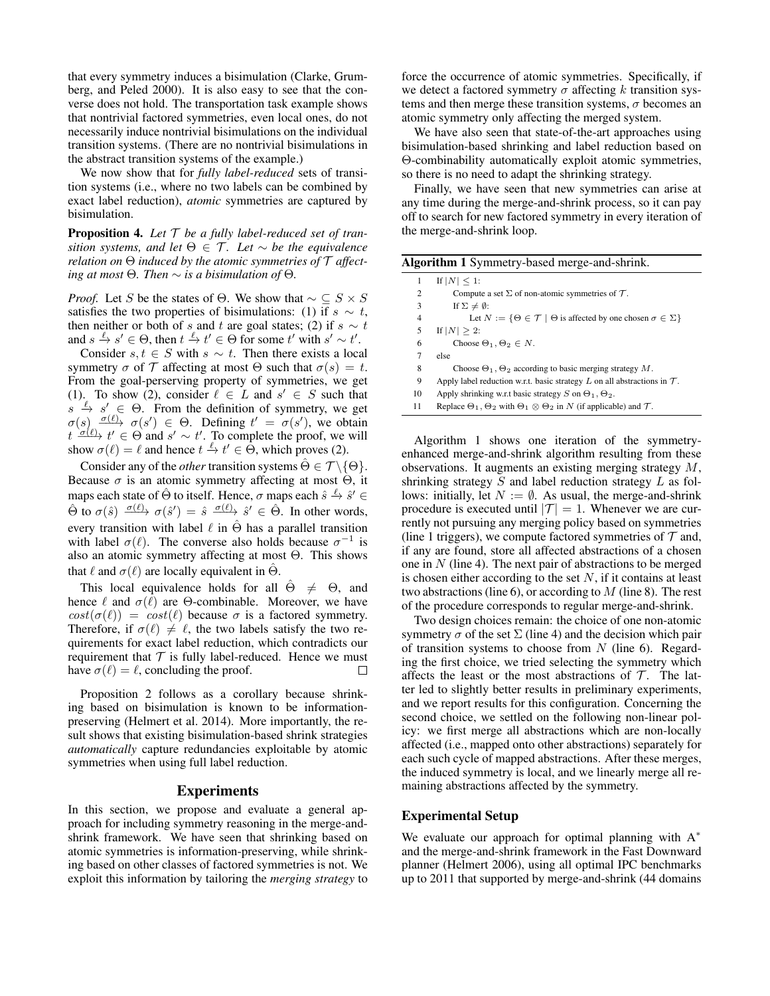that every symmetry induces a bisimulation (Clarke, Grumberg, and Peled 2000). It is also easy to see that the converse does not hold. The transportation task example shows that nontrivial factored symmetries, even local ones, do not necessarily induce nontrivial bisimulations on the individual transition systems. (There are no nontrivial bisimulations in the abstract transition systems of the example.)

We now show that for *fully label-reduced* sets of transition systems (i.e., where no two labels can be combined by exact label reduction), *atomic* symmetries are captured by bisimulation.

Proposition 4. *Let* T *be a fully label-reduced set of transition systems, and let*  $\Theta \in \mathcal{T}$ *. Let*  $\sim$  *be the equivalence relation on* Θ *induced by the atomic symmetries of* T *affecting at most*  $\Theta$ *. Then*  $\sim$  *is a bisimulation of*  $\Theta$ *.* 

*Proof.* Let S be the states of  $\Theta$ . We show that  $\sim \mathcal{I} \subseteq S \times S$ satisfies the two properties of bisimulations: (1) if  $s \sim t$ , then neither or both of s and t are goal states; (2) if s  $\sim t$ and  $s \stackrel{\ell}{\to} s' \in \Theta$ , then  $t \stackrel{\ell}{\to} t' \in \Theta$  for some  $t'$  with  $s' \sim t'$ .

Consider  $s, t \in S$  with  $s \sim t$ . Then there exists a local symmetry  $\sigma$  of  $\mathcal T$  affecting at most  $\Theta$  such that  $\sigma(s) = t$ . From the goal-perserving property of symmetries, we get (1). To show (2), consider  $\ell \in L$  and  $s' \in S$  such that  $s \stackrel{\ell}{\rightarrow} s' \in \Theta$ . From the definition of symmetry, we get  $\sigma(s)$   $\sigma(\ell)$   $\sigma(s') \in \Theta$ . Defining  $t' = \sigma(s')$ , we obtain  $t \stackrel{\sigma(\ell)}{\longrightarrow} t' \in \Theta$  and  $s' \sim t'$ . To complete the proof, we will show  $\sigma(\ell) = \ell$  and hence  $t \stackrel{\ell}{\rightarrow} t' \in \Theta$ , which proves (2).

Consider any of the *other* transition systems  $\hat{\Theta} \in \mathcal{T} \setminus \{\Theta\}.$ Because  $\sigma$  is an atomic symmetry affecting at most  $\Theta$ , it maps each state of  $\hat{\Theta}$  to itself. Hence,  $\sigma$  maps each  $\hat{s} \stackrel{\ell}{\rightarrow} \hat{s}' \in$  $\hat{\Theta}$  to  $\sigma(\hat{s}) \xrightarrow{\sigma(\ell)} \sigma(\hat{s}') = \hat{s} \xrightarrow{\sigma(\ell)} \hat{s}' \in \hat{\Theta}$ . In other words, every transition with label  $\ell$  in  $\Theta$  has a parallel transition with label  $\sigma(\ell)$ . The converse also holds because  $\sigma^{-1}$  is also an atomic symmetry affecting at most Θ. This shows that  $\ell$  and  $\sigma(\ell)$  are locally equivalent in  $\Theta$ .

This local equivalence holds for all  $\hat{\Theta} \neq \Theta$ , and hence  $\ell$  and  $\sigma(\ell)$  are Θ-combinable. Moreover, we have  $cost(\sigma(\ell)) = cost(\ell)$  because  $\sigma$  is a factored symmetry. Therefore, if  $\sigma(\ell) \neq \ell$ , the two labels satisfy the two requirements for exact label reduction, which contradicts our requirement that  $T$  is fully label-reduced. Hence we must have  $\sigma(\ell) = \ell$ , concluding the proof.  $\Box$ 

Proposition 2 follows as a corollary because shrinking based on bisimulation is known to be informationpreserving (Helmert et al. 2014). More importantly, the result shows that existing bisimulation-based shrink strategies *automatically* capture redundancies exploitable by atomic symmetries when using full label reduction.

#### Experiments

In this section, we propose and evaluate a general approach for including symmetry reasoning in the merge-andshrink framework. We have seen that shrinking based on atomic symmetries is information-preserving, while shrinking based on other classes of factored symmetries is not. We exploit this information by tailoring the *merging strategy* to force the occurrence of atomic symmetries. Specifically, if we detect a factored symmetry  $\sigma$  affecting k transition systems and then merge these transition systems,  $\sigma$  becomes an atomic symmetry only affecting the merged system.

We have also seen that state-of-the-art approaches using bisimulation-based shrinking and label reduction based on Θ-combinability automatically exploit atomic symmetries, so there is no need to adapt the shrinking strategy.

Finally, we have seen that new symmetries can arise at any time during the merge-and-shrink process, so it can pay off to search for new factored symmetry in every iteration of the merge-and-shrink loop.

| <b>Algorithm 1</b> Symmetry-based merge-and-shrink. |                                                                                                          |  |  |
|-----------------------------------------------------|----------------------------------------------------------------------------------------------------------|--|--|
| 1                                                   | If $ N  < 1$ :                                                                                           |  |  |
| 2                                                   | Compute a set $\Sigma$ of non-atomic symmetries of $\mathcal{T}$ .                                       |  |  |
| 3                                                   | If $\Sigma \neq \emptyset$ :                                                                             |  |  |
| 4                                                   | Let $N := \{ \Theta \in \mathcal{T} \mid \Theta \text{ is affected by one chosen } \sigma \in \Sigma \}$ |  |  |
| 5                                                   | If $ N  > 2$ :                                                                                           |  |  |
| 6                                                   | Choose $\Theta_1, \Theta_2 \in N$ .                                                                      |  |  |
| 7                                                   | else                                                                                                     |  |  |
| 8                                                   | Choose $\Theta_1$ , $\Theta_2$ according to basic merging strategy M.                                    |  |  |
| 9                                                   | Apply label reduction w.r.t. basic strategy L on all abstractions in $\mathcal{T}$ .                     |  |  |
| 10                                                  | Apply shrinking w.r.t basic strategy S on $\Theta_1$ , $\Theta_2$ .                                      |  |  |
| 11                                                  | Replace $\Theta_1$ , $\Theta_2$ with $\Theta_1 \otimes \Theta_2$ in N (if applicable) and T.             |  |  |
|                                                     |                                                                                                          |  |  |

Algorithm 1 shows one iteration of the symmetryenhanced merge-and-shrink algorithm resulting from these observations. It augments an existing merging strategy M, shrinking strategy  $S$  and label reduction strategy  $L$  as follows: initially, let  $N := \emptyset$ . As usual, the merge-and-shrink procedure is executed until  $|\mathcal{T}| = 1$ . Whenever we are currently not pursuing any merging policy based on symmetries (line 1 triggers), we compute factored symmetries of  $\mathcal T$  and, if any are found, store all affected abstractions of a chosen one in  $N$  (line 4). The next pair of abstractions to be merged is chosen either according to the set  $N$ , if it contains at least two abstractions (line  $6$ ), or according to  $M$  (line 8). The rest of the procedure corresponds to regular merge-and-shrink.

Two design choices remain: the choice of one non-atomic symmetry  $\sigma$  of the set  $\Sigma$  (line 4) and the decision which pair of transition systems to choose from  $N$  (line 6). Regarding the first choice, we tried selecting the symmetry which affects the least or the most abstractions of  $\mathcal T$ . The latter led to slightly better results in preliminary experiments, and we report results for this configuration. Concerning the second choice, we settled on the following non-linear policy: we first merge all abstractions which are non-locally affected (i.e., mapped onto other abstractions) separately for each such cycle of mapped abstractions. After these merges, the induced symmetry is local, and we linearly merge all remaining abstractions affected by the symmetry.

### Experimental Setup

We evaluate our approach for optimal planning with  $A^*$ and the merge-and-shrink framework in the Fast Downward planner (Helmert 2006), using all optimal IPC benchmarks up to 2011 that supported by merge-and-shrink (44 domains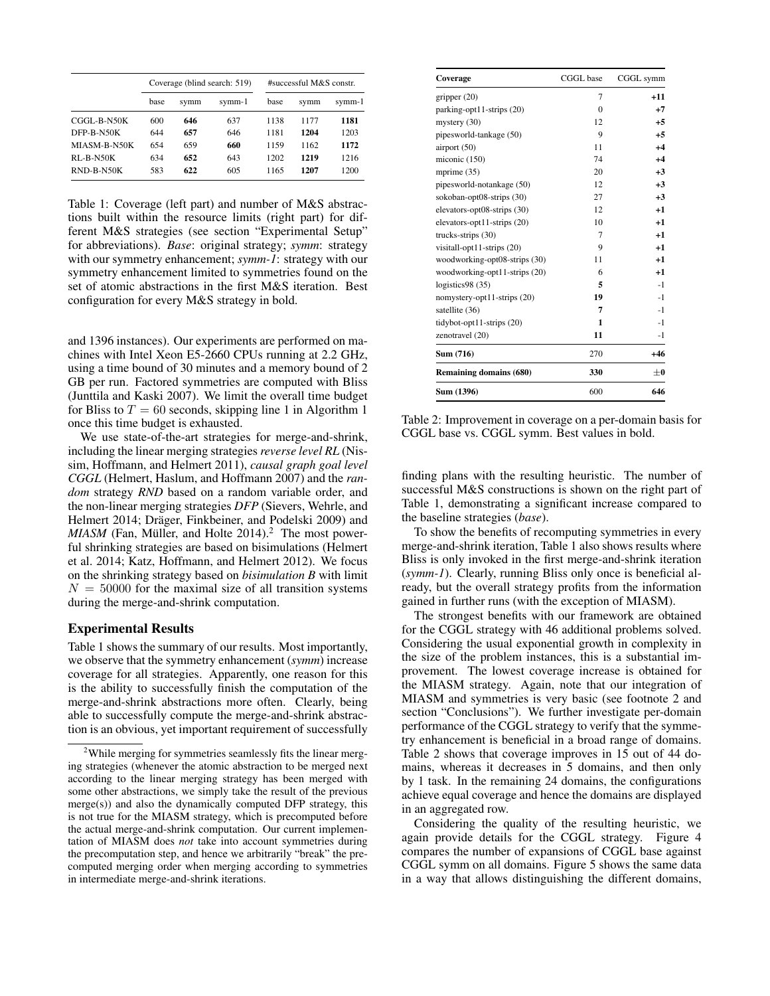|              | Coverage (blind search: 519) |      |        | #successful M&S constr. |      |        |
|--------------|------------------------------|------|--------|-------------------------|------|--------|
|              | base                         | symm | symm-1 | base                    | symm | symm-1 |
| CGGL-B-N50K  | 600                          | 646  | 637    | 1138                    | 1177 | 1181   |
| DFP-B-N50K   | 644                          | 657  | 646    | 1181                    | 1204 | 1203   |
| MIASM-B-N50K | 654                          | 659  | 660    | 1159                    | 1162 | 1172   |
| RL-B-N50K    | 634                          | 652  | 643    | 1202                    | 1219 | 1216   |
| RND-B-N50K   | 583                          | 622  | 605    | 1165                    | 1207 | 1200   |

Table 1: Coverage (left part) and number of M&S abstractions built within the resource limits (right part) for different M&S strategies (see section "Experimental Setup" for abbreviations). *Base*: original strategy; *symm*: strategy with our symmetry enhancement; *symm-1*: strategy with our symmetry enhancement limited to symmetries found on the set of atomic abstractions in the first M&S iteration. Best configuration for every M&S strategy in bold.

and 1396 instances). Our experiments are performed on machines with Intel Xeon E5-2660 CPUs running at 2.2 GHz, using a time bound of 30 minutes and a memory bound of 2 GB per run. Factored symmetries are computed with Bliss (Junttila and Kaski 2007). We limit the overall time budget for Bliss to  $T = 60$  seconds, skipping line 1 in Algorithm 1 once this time budget is exhausted.

We use state-of-the-art strategies for merge-and-shrink, including the linear merging strategies *reverse level RL* (Nissim, Hoffmann, and Helmert 2011), *causal graph goal level CGGL* (Helmert, Haslum, and Hoffmann 2007) and the *random* strategy *RND* based on a random variable order, and the non-linear merging strategies *DFP* (Sievers, Wehrle, and Helmert 2014; Dräger, Finkbeiner, and Podelski 2009) and MIASM (Fan, Müller, and Holte 2014).<sup>2</sup> The most powerful shrinking strategies are based on bisimulations (Helmert et al. 2014; Katz, Hoffmann, and Helmert 2012). We focus on the shrinking strategy based on *bisimulation B* with limit  $N = 50000$  for the maximal size of all transition systems during the merge-and-shrink computation.

### Experimental Results

Table 1 shows the summary of our results. Most importantly, we observe that the symmetry enhancement (*symm*) increase coverage for all strategies. Apparently, one reason for this is the ability to successfully finish the computation of the merge-and-shrink abstractions more often. Clearly, being able to successfully compute the merge-and-shrink abstraction is an obvious, yet important requirement of successfully

| Coverage                      | CGGL base      | CGGL symm |
|-------------------------------|----------------|-----------|
| gripper $(20)$                | 7              | $+11$     |
| parking-opt11-strips (20)     | $\theta$       | $+7$      |
| mystery $(30)$                | 12             | $+5$      |
| pipesworld-tankage (50)       | 9              | $+5$      |
| airport $(50)$                | 11             | $+4$      |
| miconic (150)                 | 74             | $+4$      |
| mprime $(35)$                 | 20             | $+3$      |
| pipesworld-notankage (50)     | 12             | $+3$      |
| sokoban-opt08-strips (30)     | 27             | $+3$      |
| elevators-opt08-strips (30)   | 12             | $+1$      |
| elevators-opt11-strips (20)   | 10             | $+1$      |
| trucks-strips $(30)$          | $\overline{7}$ | $+1$      |
| visitall-opt11-strips (20)    | 9              | $+1$      |
| woodworking-opt08-strips (30) | 11             | $+1$      |
| woodworking-opt11-strips (20) | 6              | $+1$      |
| logistics98 (35)              | 5              | $-1$      |
| nomystery-opt11-strips (20)   | 19             | $-1$      |
| satellite (36)                | 7              | $-1$      |
| tidybot-opt11-strips $(20)$   | 1              | $-1$      |
| zenotravel (20)               | 11             | $-1$      |
| Sum (716)                     | 270            | $+46$     |
| Remaining domains (680)       | 330            | $\pm 0$   |
| Sum (1396)                    | 600            | 646       |

Table 2: Improvement in coverage on a per-domain basis for CGGL base vs. CGGL symm. Best values in bold.

finding plans with the resulting heuristic. The number of successful M&S constructions is shown on the right part of Table 1, demonstrating a significant increase compared to the baseline strategies (*base*).

To show the benefits of recomputing symmetries in every merge-and-shrink iteration, Table 1 also shows results where Bliss is only invoked in the first merge-and-shrink iteration (*symm-1*). Clearly, running Bliss only once is beneficial already, but the overall strategy profits from the information gained in further runs (with the exception of MIASM).

The strongest benefits with our framework are obtained for the CGGL strategy with 46 additional problems solved. Considering the usual exponential growth in complexity in the size of the problem instances, this is a substantial improvement. The lowest coverage increase is obtained for the MIASM strategy. Again, note that our integration of MIASM and symmetries is very basic (see footnote 2 and section "Conclusions"). We further investigate per-domain performance of the CGGL strategy to verify that the symmetry enhancement is beneficial in a broad range of domains. Table 2 shows that coverage improves in 15 out of 44 domains, whereas it decreases in 5 domains, and then only by 1 task. In the remaining 24 domains, the configurations achieve equal coverage and hence the domains are displayed in an aggregated row.

Considering the quality of the resulting heuristic, we again provide details for the CGGL strategy. Figure 4 compares the number of expansions of CGGL base against CGGL symm on all domains. Figure 5 shows the same data in a way that allows distinguishing the different domains,

<sup>&</sup>lt;sup>2</sup>While merging for symmetries seamlessly fits the linear merging strategies (whenever the atomic abstraction to be merged next according to the linear merging strategy has been merged with some other abstractions, we simply take the result of the previous merge(s)) and also the dynamically computed DFP strategy, this is not true for the MIASM strategy, which is precomputed before the actual merge-and-shrink computation. Our current implementation of MIASM does *not* take into account symmetries during the precomputation step, and hence we arbitrarily "break" the precomputed merging order when merging according to symmetries in intermediate merge-and-shrink iterations.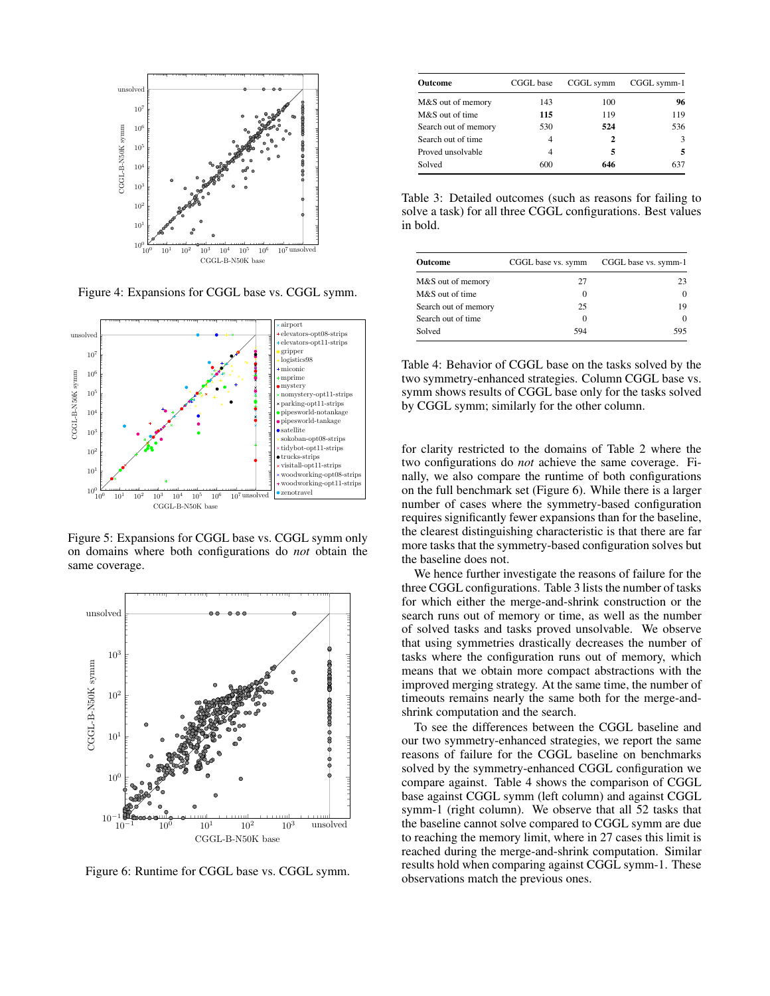

Figure 4: Expansions for CGGL base vs. CGGL symm.



Figure 5: Expansions for CGGL base vs. CGGL symm only on domains where both configurations do *not* obtain the same coverage.



Figure 6: Runtime for CGGL base vs. CGGL symm.

| Outcome              | CGGL base | CGGL symm | CGGL symm-1 |
|----------------------|-----------|-----------|-------------|
| M&S out of memory    | 143       | 100       | 96          |
| M&S out of time      | 115       | 119       | 119         |
| Search out of memory | 530       | 524       | 536         |
| Search out of time.  | 4         | 2         | 3           |
| Proved unsolvable    | 4         | 5         | 5           |
| Solved               | 600       | 646       | 637         |

Table 3: Detailed outcomes (such as reasons for failing to solve a task) for all three CGGL configurations. Best values in bold.

| <b>Outcome</b>       | CGGL base vs. symm | CGGL base vs. symm-1 |
|----------------------|--------------------|----------------------|
| M&S out of memory    | 27                 | 23                   |
| M&S out of time      | $\Omega$           | $\Omega$             |
| Search out of memory | 25                 | 19                   |
| Search out of time   | $\Omega$           | $\Omega$             |
| Solved               | 594                | 595                  |

Table 4: Behavior of CGGL base on the tasks solved by the two symmetry-enhanced strategies. Column CGGL base vs. symm shows results of CGGL base only for the tasks solved by CGGL symm; similarly for the other column.

for clarity restricted to the domains of Table 2 where the two configurations do *not* achieve the same coverage. Finally, we also compare the runtime of both configurations on the full benchmark set (Figure 6). While there is a larger number of cases where the symmetry-based configuration requires significantly fewer expansions than for the baseline, the clearest distinguishing characteristic is that there are far more tasks that the symmetry-based configuration solves but the baseline does not.

We hence further investigate the reasons of failure for the three CGGL configurations. Table 3 lists the number of tasks for which either the merge-and-shrink construction or the search runs out of memory or time, as well as the number of solved tasks and tasks proved unsolvable. We observe that using symmetries drastically decreases the number of tasks where the configuration runs out of memory, which means that we obtain more compact abstractions with the improved merging strategy. At the same time, the number of timeouts remains nearly the same both for the merge-andshrink computation and the search.

To see the differences between the CGGL baseline and our two symmetry-enhanced strategies, we report the same reasons of failure for the CGGL baseline on benchmarks solved by the symmetry-enhanced CGGL configuration we compare against. Table 4 shows the comparison of CGGL base against CGGL symm (left column) and against CGGL symm-1 (right column). We observe that all 52 tasks that the baseline cannot solve compared to CGGL symm are due to reaching the memory limit, where in 27 cases this limit is reached during the merge-and-shrink computation. Similar results hold when comparing against CGGL symm-1. These observations match the previous ones.